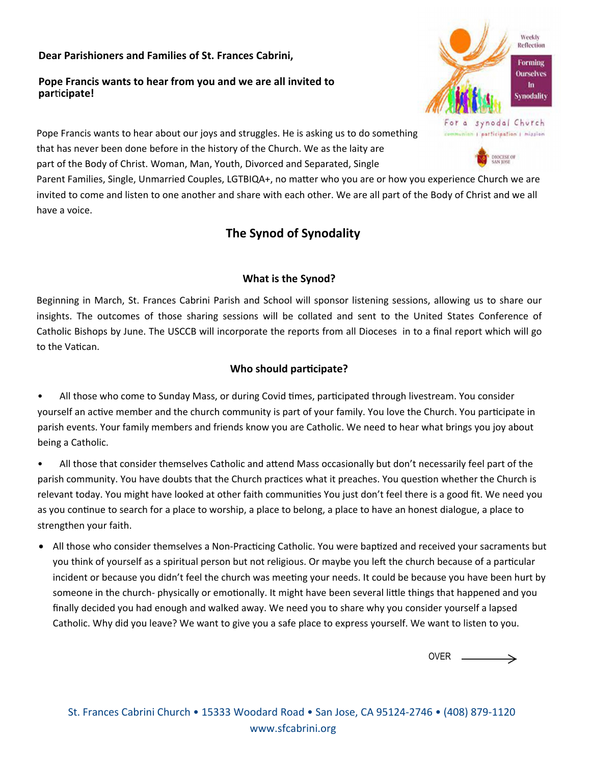#### **Dear Parishioners and Families of St. Frances Cabrini,**

#### **Pope Francis wants to hear from you and we are all invited to par**Ɵ**cipate!**



**DIOCESE OF** 

Pope Francis wants to hear about our joys and struggles. He is asking us to do something that has never been done before in the history of the Church. We as the laity are part of the Body of Christ. Woman, Man, Youth, Divorced and Separated, Single

Parent Families, Single, Unmarried Couples, LGTBIQA+, no matter who you are or how you experience Church we are invited to come and listen to one another and share with each other. We are all part of the Body of Christ and we all have a voice.

# **The Synod of Synodality**

## **What is the Synod?**

Beginning in March, St. Frances Cabrini Parish and School will sponsor listening sessions, allowing us to share our insights. The outcomes of those sharing sessions will be collated and sent to the United States Conference of Catholic Bishops by June. The USCCB will incorporate the reports from all Dioceses in to a final report which will go to the Vatican.

# **Who** should participate?

• All those who come to Sunday Mass, or during Covid times, participated through livestream. You consider yourself an active member and the church community is part of your family. You love the Church. You participate in parish events. Your family members and friends know you are Catholic. We need to hear what brings you joy about being a Catholic.

All those that consider themselves Catholic and attend Mass occasionally but don't necessarily feel part of the parish community. You have doubts that the Church practices what it preaches. You question whether the Church is relevant today. You might have looked at other faith communities You just don't feel there is a good fit. We need you as you continue to search for a place to worship, a place to belong, a place to have an honest dialogue, a place to strengthen your faith.

• All those who consider themselves a Non-Practicing Catholic. You were baptized and received your sacraments but you think of yourself as a spiritual person but not religious. Or maybe you left the church because of a particular incident or because you didn't feel the church was meeting your needs. It could be because you have been hurt by someone in the church- physically or emotionally. It might have been several little things that happened and you finally decided you had enough and walked away. We need you to share why you consider yourself a lapsed Catholic. Why did you leave? We want to give you a safe place to express yourself. We want to listen to you.

> OVER $\rightarrow$